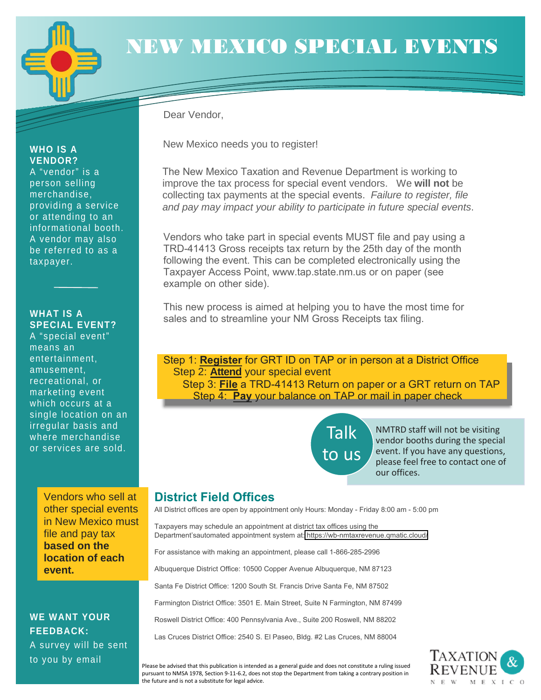

**WHO IS A VENDOR?**  A "vendor" is a person selling merchandise, providing a service or attending to an informational booth. A vendor may also be referred to as a

taxpayer.

**WHAT IS A** 

means an entertainment, amusement, recreational, or marketing event which occurs at a single location on an irregular basis and where merchandise or services are sold.

**SPECIAL EVENT?**  A "special event"

# NEW MEXICO SPECIAL EVENTS

Dear Vendor,

New Mexico needs you to register!

The New Mexico Taxation and Revenue Department is working to improve the tax process for special event vendors. We **will not** be collecting tax payments at the special events. *Failure to register, file and pay may impact your ability to participate in future special events*.

Vendors who take part in special events MUST file and pay using a TRD-41413 Gross receipts tax return by the 25th day of the month following the event. This can be completed electronically using the Taxpayer Access Point, www.tap.state.nm.us or on paper (see example on other side).

This new process is aimed at helping you to have the most time for sales and to streamline your NM Gross Receipts tax filing.

Step 1: **Register** for GRT ID on TAP or in person at a District Office Step 2: **Attend** your special event Step 3: **File** a TRD-41413 Return on paper or a GRT return on TAP Step 4: **Pay** your balance on TAP or mail in paper check

> Talk to us

NMTRD staff will not be visiting vendor booths during the special event. If you have any questions, please feel free to contact one of our offices.

#### **District Field Offices**

All District offices are open by appointment only Hours: Monday - Friday 8:00 am - 5:00 pm

Taxpayers may schedule an appointment at district tax offices using the Department'sautomated appointment system at: https://wb-nmtaxrevenue.qmatic.cloud/

For assistance with making an appointment, please call 1-866-285-2996

Albuquerque District Office: 10500 Copper Avenue Albuquerque, NM 87123

Santa Fe District Office: 1200 South St. Francis Drive Santa Fe, NM 87502

Farmington District Office: 3501 E. Main Street, Suite N Farmington, NM 87499

Roswell District Office: 400 Pennsylvania Ave., Suite 200 Roswell, NM 88202

Las Cruces District Office: 2540 S. El Paseo, Bldg. #2 Las Cruces, NM 88004



other special events in New Mexico must file and pay tax **based on the location of each event.**

Vendors who sell at

**WE WANT YOUR FEEDBACK:** A survey will be sent to you by email

Please be advised that this publication is intended as a general guide and does not constitute a ruling issued pursuant to NMSA 1978, Section 9-11-6.2, does not stop the Department from taking a contrary position in the future and is not a substitute for legal advice.